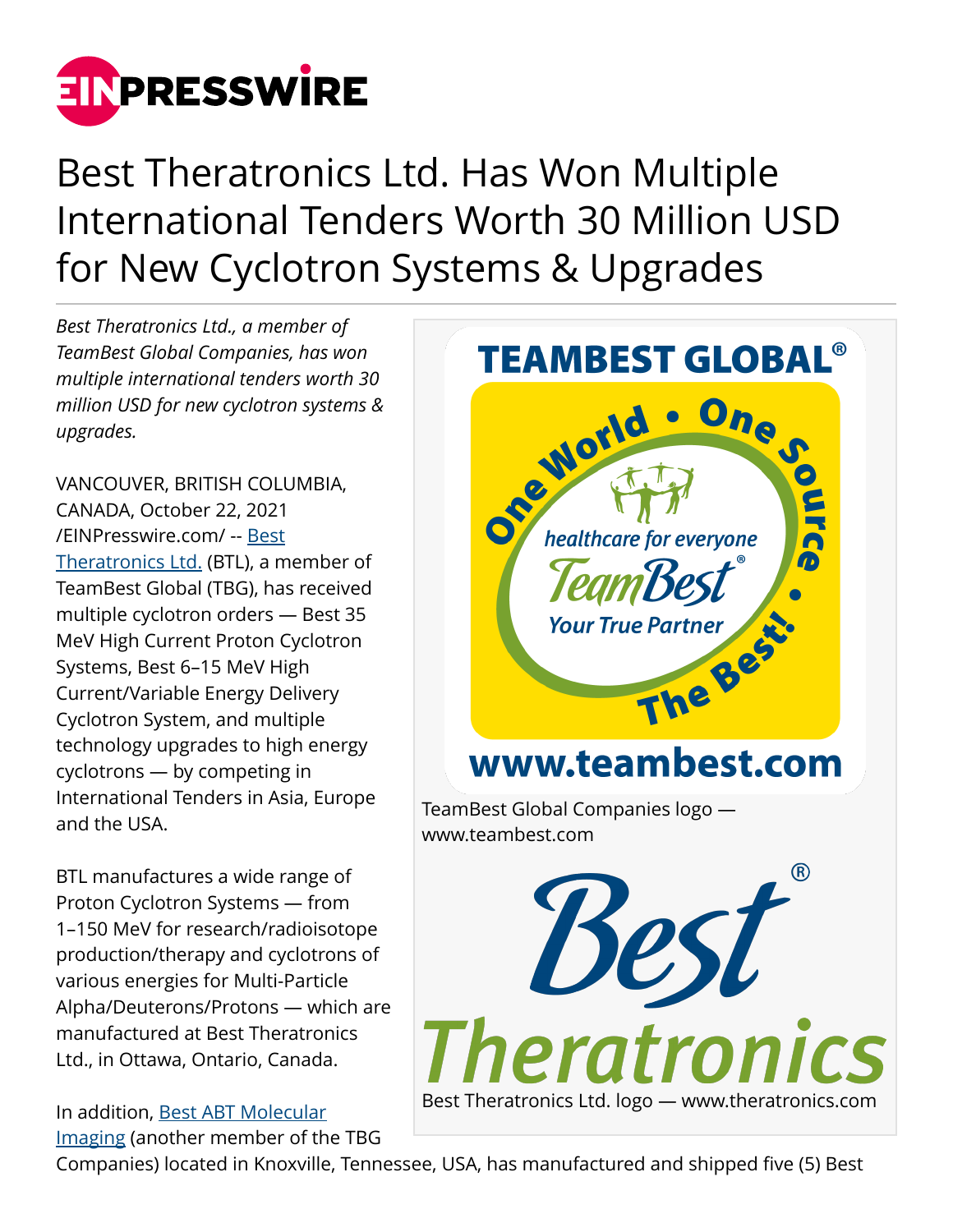

Best Theratronics Ltd. Has Won Multiple International Tenders Worth 30 Million USD for New Cyclotron Systems & Upgrades

*Best Theratronics Ltd., a member of TeamBest Global Companies, has won multiple international tenders worth 30 million USD for new cyclotron systems & upgrades.*

VANCOUVER, BRITISH COLUMBIA, CANADA, October 22, 2021 [/EINPresswire.com/](http://www.einpresswire.com) -- [Best](http://www.theratronics.com) [Theratronics Ltd.](http://www.theratronics.com) (BTL), a member of TeamBest Global (TBG), has received multiple cyclotron orders — Best 35 MeV High Current Proton Cyclotron Systems, Best 6–15 MeV High Current/Variable Energy Delivery Cyclotron System, and multiple technology upgrades to high energy cyclotrons — by competing in International Tenders in Asia, Europe and the USA.

BTL manufactures a wide range of Proton Cyclotron Systems — from 1–150 MeV for research/radioisotope production/therapy and cyclotrons of various energies for Multi-Particle Alpha/Deuterons/Protons — which are manufactured at Best Theratronics Ltd., in Ottawa, Ontario, Canada.

In addition, [Best ABT Molecular](http://www.bestabt.com) [Imaging](http://www.bestabt.com) (another member of the TBG



Companies) located in Knoxville, Tennessee, USA, has manufactured and shipped five (5) Best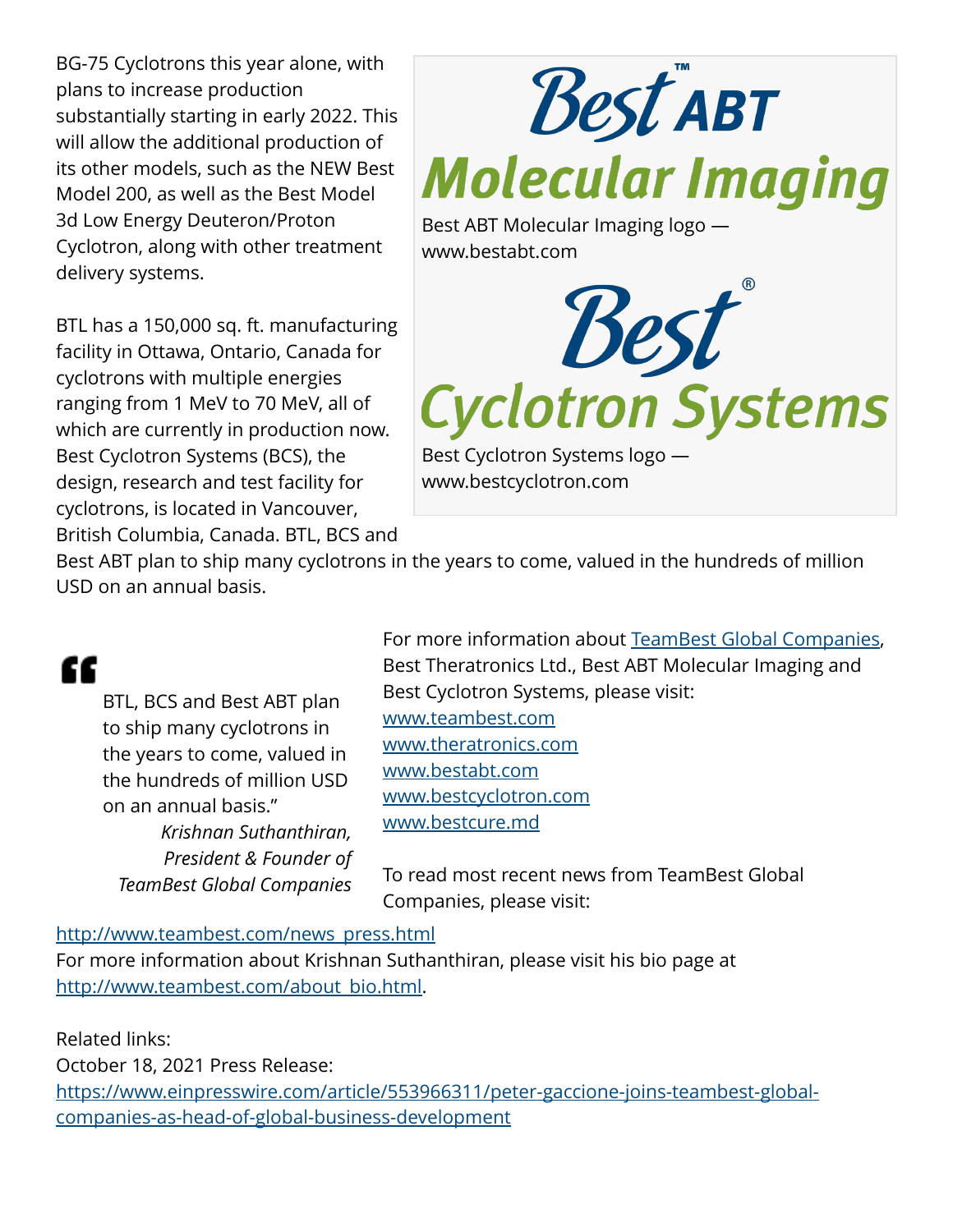BG-75 Cyclotrons this year alone, with plans to increase production substantially starting in early 2022. This will allow the additional production of its other models, such as the NEW Best Model 200, as well as the Best Model 3d Low Energy Deuteron/Proton Cyclotron, along with other treatment delivery systems.

BTL has a 150,000 sq. ft. manufacturing facility in Ottawa, Ontario, Canada for cyclotrons with multiple energies ranging from 1 MeV to 70 MeV, all of which are currently in production now. Best Cyclotron Systems (BCS), the design, research and test facility for cyclotrons, is located in Vancouver, British Columbia, Canada. BTL, BCS and



Best ABT plan to ship many cyclotrons in the years to come, valued in the hundreds of million USD on an annual basis.

# æ

BTL, BCS and Best ABT plan to ship many cyclotrons in the years to come, valued in the hundreds of million USD on an annual basis." *Krishnan Suthanthiran, President & Founder of TeamBest Global Companies*

For more information about [TeamBest Global Companies,](http://www.teambest.com) Best Theratronics Ltd., Best ABT Molecular Imaging and Best Cyclotron Systems, please visit: [www.teambest.com](http://www.teambest.com) [www.theratronics.com](http://www.theratronics.com) [www.bestabt.com](http://www.bestabt.com) [www.bestcyclotron.com](http://www.bestcyclotron.com) [www.bestcure.md](http://www.bestcure.md)

To read most recent news from TeamBest Global Companies, please visit:

#### [http://www.teambest.com/news\\_press.html](http://www.teambest.com/news_press.html)

For more information about Krishnan Suthanthiran, please visit his bio page at [http://www.teambest.com/about\\_bio.html](http://www.teambest.com/about_bio.html).

Related links:

October 18, 2021 Press Release: [https://www.einpresswire.com/article/553966311/peter-gaccione-joins-teambest-global](https://www.einpresswire.com/article/553966311/peter-gaccione-joins-teambest-global-companies-as-head-of-global-business-development)[companies-as-head-of-global-business-development](https://www.einpresswire.com/article/553966311/peter-gaccione-joins-teambest-global-companies-as-head-of-global-business-development)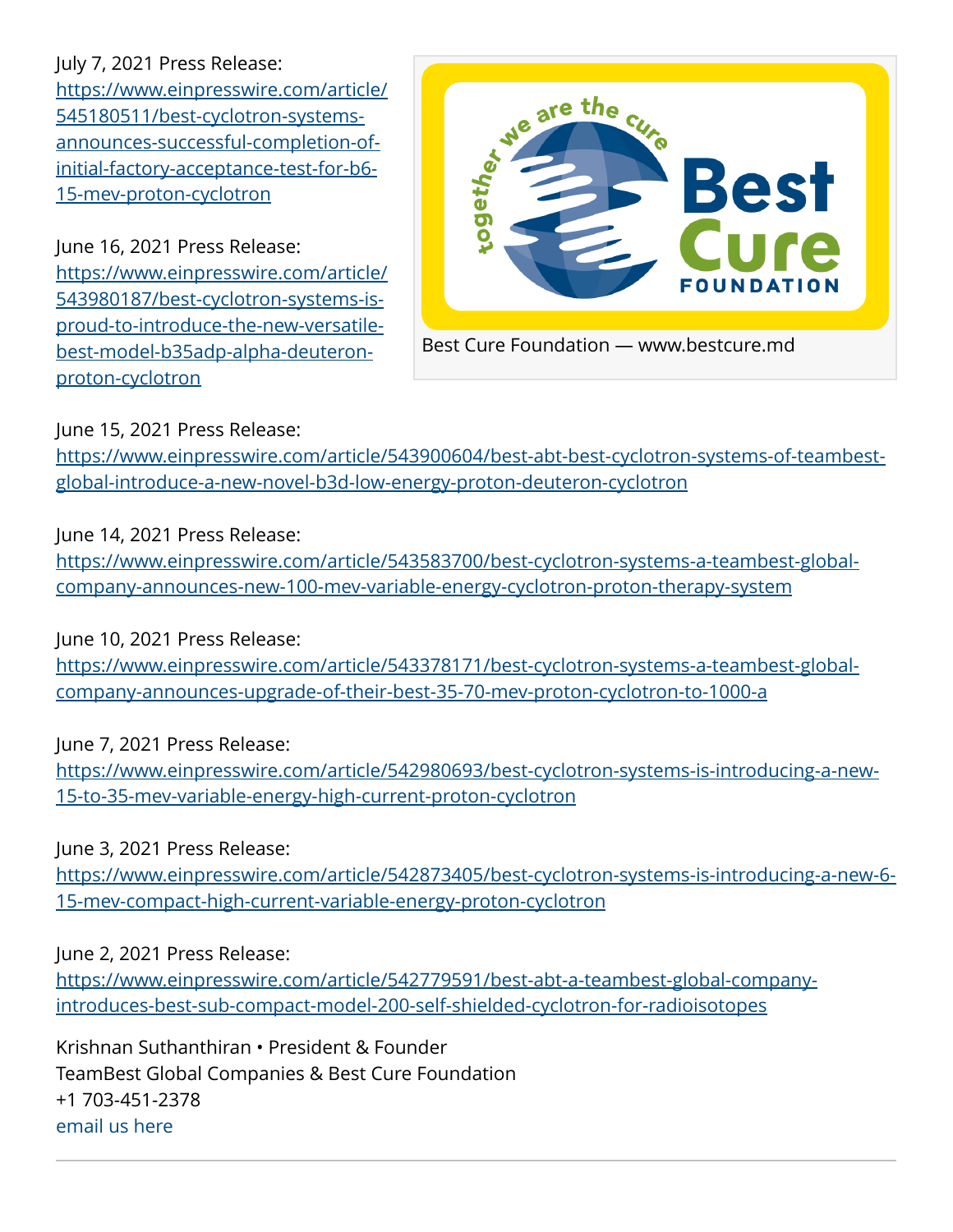## July 7, 2021 Press Release:

[https://www.einpresswire.com/article/](https://www.einpresswire.com/article/545180511/best-cyclotron-systems-announces-successful-completion-of-initial-factory-acceptance-test-for-b6-15-mev-proton-cyclotron) [545180511/best-cyclotron-systems](https://www.einpresswire.com/article/545180511/best-cyclotron-systems-announces-successful-completion-of-initial-factory-acceptance-test-for-b6-15-mev-proton-cyclotron)[announces-successful-completion-of](https://www.einpresswire.com/article/545180511/best-cyclotron-systems-announces-successful-completion-of-initial-factory-acceptance-test-for-b6-15-mev-proton-cyclotron)[initial-factory-acceptance-test-for-b6-](https://www.einpresswire.com/article/545180511/best-cyclotron-systems-announces-successful-completion-of-initial-factory-acceptance-test-for-b6-15-mev-proton-cyclotron) [15-mev-proton-cyclotron](https://www.einpresswire.com/article/545180511/best-cyclotron-systems-announces-successful-completion-of-initial-factory-acceptance-test-for-b6-15-mev-proton-cyclotron)

June 16, 2021 Press Release: [https://www.einpresswire.com/article/](https://www.einpresswire.com/article/543980187/best-cyclotron-systems-is-proud-to-introduce-the-new-versatile-best-model-b35adp-alpha-deuteron-proton-cyclotron) [543980187/best-cyclotron-systems-is](https://www.einpresswire.com/article/543980187/best-cyclotron-systems-is-proud-to-introduce-the-new-versatile-best-model-b35adp-alpha-deuteron-proton-cyclotron)[proud-to-introduce-the-new-versatile](https://www.einpresswire.com/article/543980187/best-cyclotron-systems-is-proud-to-introduce-the-new-versatile-best-model-b35adp-alpha-deuteron-proton-cyclotron)[best-model-b35adp-alpha-deuteron](https://www.einpresswire.com/article/543980187/best-cyclotron-systems-is-proud-to-introduce-the-new-versatile-best-model-b35adp-alpha-deuteron-proton-cyclotron)[proton-cyclotron](https://www.einpresswire.com/article/543980187/best-cyclotron-systems-is-proud-to-introduce-the-new-versatile-best-model-b35adp-alpha-deuteron-proton-cyclotron)



## June 15, 2021 Press Release:

[https://www.einpresswire.com/article/543900604/best-abt-best-cyclotron-systems-of-teambest](https://www.einpresswire.com/article/543900604/best-abt-best-cyclotron-systems-of-teambest-global-introduce-a-new-novel-b3d-low-energy-proton-deuteron-cyclotron)[global-introduce-a-new-novel-b3d-low-energy-proton-deuteron-cyclotron](https://www.einpresswire.com/article/543900604/best-abt-best-cyclotron-systems-of-teambest-global-introduce-a-new-novel-b3d-low-energy-proton-deuteron-cyclotron)

June 14, 2021 Press Release:

[https://www.einpresswire.com/article/543583700/best-cyclotron-systems-a-teambest-global](https://www.einpresswire.com/article/543583700/best-cyclotron-systems-a-teambest-global-company-announces-new-100-mev-variable-energy-cyclotron-proton-therapy-system)[company-announces-new-100-mev-variable-energy-cyclotron-proton-therapy-system](https://www.einpresswire.com/article/543583700/best-cyclotron-systems-a-teambest-global-company-announces-new-100-mev-variable-energy-cyclotron-proton-therapy-system)

#### June 10, 2021 Press Release:

[https://www.einpresswire.com/article/543378171/best-cyclotron-systems-a-teambest-global](https://www.einpresswire.com/article/543378171/best-cyclotron-systems-a-teambest-global-company-announces-upgrade-of-their-best-35-70-mev-proton-cyclotron-to-1000-a)[company-announces-upgrade-of-their-best-35-70-mev-proton-cyclotron-to-1000-a](https://www.einpresswire.com/article/543378171/best-cyclotron-systems-a-teambest-global-company-announces-upgrade-of-their-best-35-70-mev-proton-cyclotron-to-1000-a)

June 7, 2021 Press Release:

[https://www.einpresswire.com/article/542980693/best-cyclotron-systems-is-introducing-a-new-](https://www.einpresswire.com/article/542980693/best-cyclotron-systems-is-introducing-a-new-15-to-35-mev-variable-energy-high-current-proton-cyclotron)[15-to-35-mev-variable-energy-high-current-proton-cyclotron](https://www.einpresswire.com/article/542980693/best-cyclotron-systems-is-introducing-a-new-15-to-35-mev-variable-energy-high-current-proton-cyclotron)

June 3, 2021 Press Release:

[https://www.einpresswire.com/article/542873405/best-cyclotron-systems-is-introducing-a-new-6-](https://www.einpresswire.com/article/542873405/best-cyclotron-systems-is-introducing-a-new-6-15-mev-compact-high-current-variable-energy-proton-cyclotron) [15-mev-compact-high-current-variable-energy-proton-cyclotron](https://www.einpresswire.com/article/542873405/best-cyclotron-systems-is-introducing-a-new-6-15-mev-compact-high-current-variable-energy-proton-cyclotron)

June 2, 2021 Press Release:

[https://www.einpresswire.com/article/542779591/best-abt-a-teambest-global-company](https://www.einpresswire.com/article/542779591/best-abt-a-teambest-global-company-introduces-best-sub-compact-model-200-self-shielded-cyclotron-for-radioisotopes)[introduces-best-sub-compact-model-200-self-shielded-cyclotron-for-radioisotopes](https://www.einpresswire.com/article/542779591/best-abt-a-teambest-global-company-introduces-best-sub-compact-model-200-self-shielded-cyclotron-for-radioisotopes)

Krishnan Suthanthiran • President & Founder TeamBest Global Companies & Best Cure Foundation +1 703-451-2378 [email us here](http://www.einpresswire.com/contact_author/3183965)